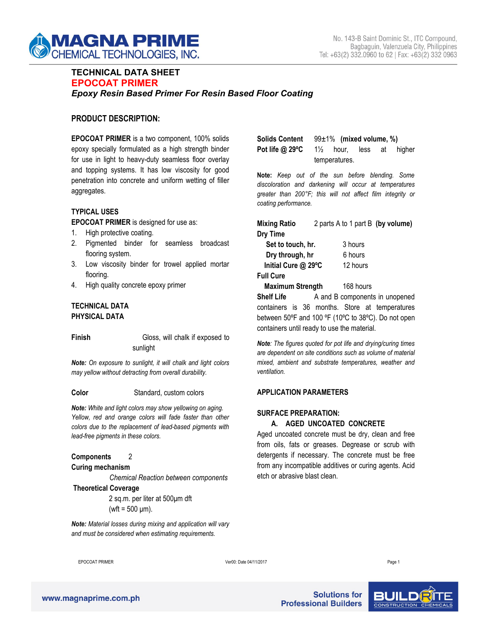

# **TECHNICAL DATA SHEET EPOCOAT PRIMER** *Epoxy Resin Based Primer For Resin Based Floor Coating*

## **PRODUCT DESCRIPTION:**

**EPOCOAT PRIMER** is a two component, 100% solids epoxy specially formulated as a high strength binder for use in light to heavy-duty seamless floor overlay and topping systems. It has low viscosity for good penetration into concrete and uniform wetting of filler aggregates.

## **TYPICAL USES**

**EPOCOAT PRIMER** is designed for use as:

- 1. High protective coating.
- 2. Pigmented binder for seamless broadcast flooring system.
- 3. Low viscosity binder for trowel applied mortar flooring.
- 4. High quality concrete epoxy primer

## **TECHNICAL DATA PHYSICAL DATA**

| Finish | Gloss, will chalk if exposed to |                        |
|--------|---------------------------------|------------------------|
|        | sunlight                        | <b>Note:</b> The figur |
|        |                                 | المستملم وتمسم المستمر |

*Note:* On exposure to sunlight, it will chalk and light colors *may yellow without detracting from overall durability.*

#### **Color** Standard, custom colors

*Note: White and light colors may show yellowing on aging. Yellow, red and orange colors will fade faster than other colors due to the replacement of lead-based pigments with lead-free pigments in these colors.*

## **Components** 2

# **Curing mechanism**

*Chemical Reaction between components*

#### **Theoretical Coverage**

2 sq.m. per liter at 500μm dft  $(wft = 500 \mu m)$ .

*Note: Material losses during mixing and application will vary and must be considered when estimating requirements.*

|                                                            | Solids Content $99\pm1\%$ (mixed volume, %) |  |  |  |  |  |
|------------------------------------------------------------|---------------------------------------------|--|--|--|--|--|
| <b>Pot life @ 29°C</b> $1\frac{1}{2}$ hour, less at higher |                                             |  |  |  |  |  |
|                                                            | temperatures.                               |  |  |  |  |  |

**Note:** *Keep out of the sun before blending. Some discoloration and darkening will occur at temperatures greater than 200°F; this will not affect film integrity or coating performance.*

| <b>Mixing Ratio</b>     | 2 parts A to 1 part B (by volume) |           |  |  |
|-------------------------|-----------------------------------|-----------|--|--|
| Dry Time                |                                   |           |  |  |
| Set to touch, hr.       |                                   | 3 hours   |  |  |
| Dry through, hr         |                                   | 6 hours   |  |  |
| Initial Cure @ 29°C     |                                   | 12 hours  |  |  |
| <b>Full Cure</b>        |                                   |           |  |  |
| <b>Maximum Strength</b> |                                   | 168 hours |  |  |
| <b>Shelf Life</b>       | A and B components in unopened    |           |  |  |

containers is 36 months. Store at temperatures between 50ºF and 100 ºF (10ºC to 38ºC). Do not open containers until ready to use the material.

*Note: The figures quoted for pot life and drying/curing times are dependent on site conditions such as volume of material mixed, ambient and substrate temperatures, weather and ventilation.*

#### **APPLICATION PARAMETERS**

## **SURFACE PREPARATION:**

## **A. AGED UNCOATED CONCRETE**

Aged uncoated concrete must be dry, clean and free from oils, fats or greases. Degrease or scrub with detergents if necessary. The concrete must be free from any incompatible additives or curing agents. Acid etch or abrasive blast clean.

EPOCOAT PRIMER Ver00: Date 04/11/2017 Page 1

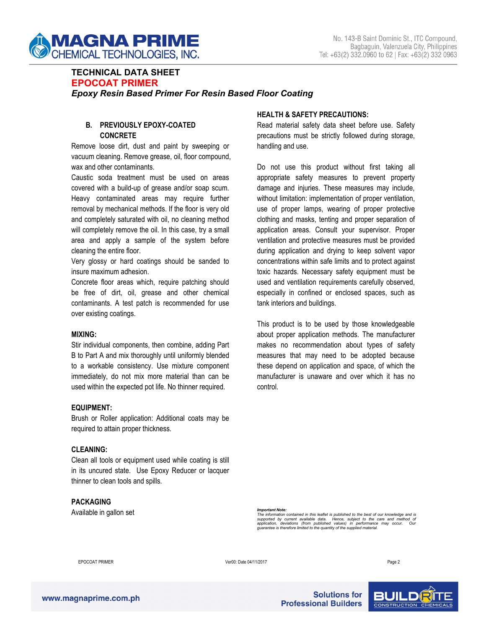

# **TECHNICAL DATA SHEET EPOCOAT PRIMER** *Epoxy Resin Based Primer For Resin Based Floor Coating*

# **B. PREVIOUSLY EPOXY-COATED CONCRETE**

Remove loose dirt, dust and paint by sweeping or vacuum cleaning. Remove grease, oil, floor compound, wax and other contaminants.

Caustic soda treatment must be used on areas covered with a build-up of grease and/or soap scum. Heavy contaminated areas may require further removal by mechanical methods. If the floor is very old and completely saturated with oil, no cleaning method will completely remove the oil. In this case, try a small area and apply a sample of the system before cleaning the entire floor.

Very glossy or hard coatings should be sanded to insure maximum adhesion.

Concrete floor areas which, require patching should be free of dirt, oil, grease and other chemical contaminants. A test patch is recommended for use over existing coatings.

#### **MIXING:**

Stir individual components, then combine, adding Part B to Part A and mix thoroughly until uniformly blended to a workable consistency. Use mixture component immediately, do not mix more material than can be used within the expected pot life. No thinner required.

## **EQUIPMENT:**

Brush or Roller application: Additional coats may be required to attain proper thickness.

## **CLEANING:**

Clean all tools or equipment used while coating is still in its uncured state. Use Epoxy Reducer or lacquer thinner to clean tools and spills.

## **PACKAGING**

Available in gallon set

#### **HEALTH & SAFETY PRECAUTIONS:**

Read material safety data sheet before use. Safety precautions must be strictly followed during storage, handling and use.

Do not use this product without first taking all appropriate safety measures to prevent property damage and injuries. These measures may include, without limitation: implementation of proper ventilation, use of proper lamps, wearing of proper protective clothing and masks, tenting and proper separation of application areas. Consult your supervisor. Proper ventilation and protective measures must be provided during application and drying to keep solvent vapor concentrations within safe limits and to protect against toxic hazards. Necessary safety equipment must be used and ventilation requirements carefully observed, especially in confined or enclosed spaces, such as tank interiors and buildings.

This product is to be used by those knowledgeable about proper application methods. The manufacturer makes no recommendation about types of safety measures that may need to be adopted because these depend on application and space, of which the manufacturer is unaware and over which it has no control.

Important Note:<br>The information contained in this leaflet is published to the best of our knowledge and is<br>supported by current available data. Hence, subject to the care and method of<br>application, deviations (from publish

EPOCOAT PRIMER Ver00: Date 04/11/2017 Page 2

**Solutions for Professional Builders**